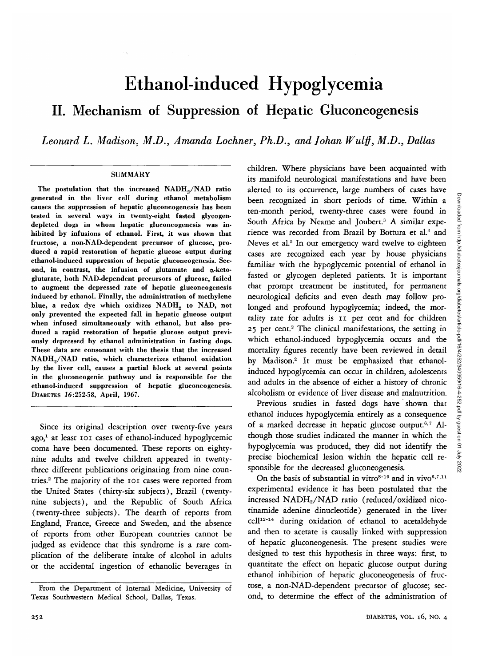# Ethanol-induced Hypoglycemia II. Mechanism of Suppression of Hepatic Gluconeogenesis

*Leonard L. Madison, M.D., Amanda Lochner, Ph.D., and Johan Wulff, M.D., Dallas*

## SUMMARY

The postulation that the increased  $NADH_{2}/NAD$  ratio generated in the liver cell during ethanol metabolism causes the suppression of hepatic gluconeogenesis has been tested in several ways in twenty-eight fasted glycogendepleted dogs in whom hepatic gluconeogenesis was inhibited by infusions of ethanol. First, it was shown that fructose, a non-NAD-dependent precursor of glucose, produced a rapid restoration of hepatic glucose output during ethanol-induced suppression of hepatic gluconeogenesis. Second, in contrast, the infusion of glutamate and  $\alpha$ -ketoglutarate, both NAD-dependent precursors of glucose, failed to augment the depressed rate of hepatic gluconeogenesis induced by ethanol. Finally, the administration of methylene blue, a redox dye which oxidizes NADH<sub>2</sub> to NAD, not only prevented the expected fall in hepatic glucose output when infused simultaneously with ethanol, but also produced a rapid restoration of hepatic glucose output previously depressed by ethanol administration in fasting dogs. These data are consonant with the thesis that the increased NADH<sub>2</sub>/NAD ratio, which characterizes ethanol oxidation by the liver cell, causes a partial block at several points in the gluconeogenic pathway and is responsible for the ethanol-induced suppression of hepatic gluconeogenesis. DIABETES J6:252-58, April, 1967.

Since its original description over twenty-five years ago,<sup>1</sup> at least 101 cases of ethanol-induced hypoglycemic coma have been documented. These reports on eightynine adults and twelve children appeared in twentythree different publications originating from nine countries.2 The majority of the 101 cases were reported from the United States (thirty-six subjects), Brazil (twentynine subjects), and the Republic of South Africa (twenty-three subjects). The dearth of reports from England, France, Greece and Sweden, and the absence of reports from other European countries cannot be judged as evidence that this syndrome is a rare complication of the deliberate intake of alcohol in adults or the accidental ingestion of ethanolic beverages in

children. Where physicians have been acquainted with its manifold neurological manifestations and have been alerted to its occurrence, large numbers of cases have been recognized in short periods of time. Within a ten-month period, twenty-three cases were found in South Africa by Neame and Joubert.<sup>3</sup> A similar experience was recorded from Brazil by Bottura et al.<sup>4</sup> and Neves et al.<sup>5</sup> In our emergency ward twelve to eighteen cases are recognized each year by house physicians familiar with the hypoglycemic potential of ethanol in fasted or glycogen depleted patients. It is important that prompt treatment be instituted, for permanent neurological deficits and even death may follow prolonged and profound hypoglycemia; indeed, the mortality rate for adults is II per cent and for children 25 per cent.<sup>2</sup> The clinical manifestations, the setting in which ethanol-induced hypoglycemia occurs and the mortality figures recently have been reviewed in detail by Madison.<sup>2</sup> It must be emphasized that ethanolinduced hypoglycemia can occur in children, adolescents and adults in the absence of either a history of chronic alcoholism or evidence of liver disease and malnutrition.

Previous studies in fasted dogs have shown that ethanol induces hypoglycemia entirely as a consequence of a marked decrease in hepatic glucose output.<sup>6,7</sup> Although those studies indicated the manner in which the hypoglycemia was produced, they did not identify the precise biochemical lesion within the hepatic cell responsible for the decreased gluconeogenesis.

On the basis of substantial in vitro<sup>8-10</sup> and in vivo<sup>6,7,11</sup> experimental evidence it has been postulated that the increased NADH2/NAD ratio (reduced/oxidized nicotinamide adenine dinucleotide) generated in the liver cell<sup>12-14</sup> during oxidation of ethanol to acetaldehyde and then to acetate is causally linked with suppression of hepatic gluconeogenesis. The present studies were designed to test this hypothesis in three ways: first, to quantitate the effect on hepatic glucose output during ethanol inhibition of hepatic gluconeogenesis of fructose, a non-NAD-dependent precursor of glucose; second, to determine the effect of the administration of

From the Department of Internal Medicine, University of Texas Southwestern Medical School, Dallas, Texas.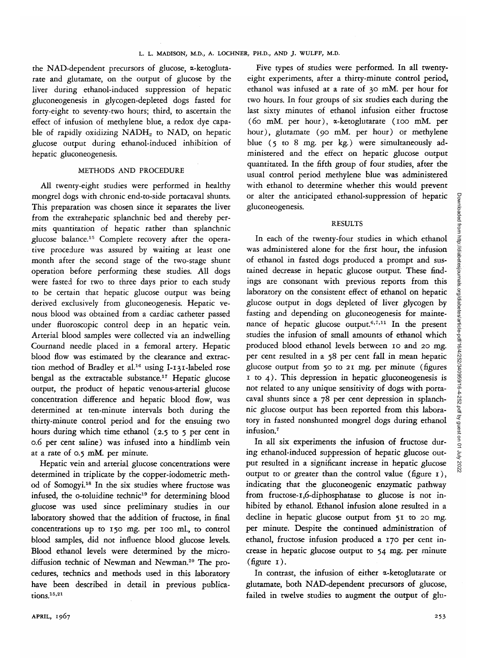the NAD-dependent precursors of glucose, a-ketoglutarate and glutamate, on the output of glucose by the liver during ethanol-induced suppression of hepatic gluconeogenesis in glycogen-depleted dogs fasted for forty-eight to seventy-two hours; third, to ascertain the effect of infusion of methylene blue, a redox dye capable of rapidly oxidizing NADH<sub>2</sub> to NAD, on hepatic glucose output during ethanol-induced inhibition of hepatic gluconeogenesis.

# METHODS AND PROCEDURE

All twenty-eight studies were performed in healthy mongrel dogs with chronic end-to-side portacaval shunts. This preparation was chosen since it separates the liver from the extrahepatic splanchnic bed and thereby permits quantitation of hepatic rather than splanchnic glucose balance.15 Complete recovery after the operative procedure was assured by waiting at least one month after the second stage of the two-stage shunt operation before performing these studies. All dogs were fasted for two to three days prior to each study to be certain that hepatic glucose output was being derived exclusively from gluconeogenesis. Hepatic venous blood was obtained from a cardiac catheter passed under fluoroscopic control deep in an hepatic vein. Arterial blood samples were collected via an indwelling Cournand needle placed in a femoral artery. Hepatic blood flow was estimated by the clearance and extraction method of Bradley et al.<sup>16</sup> using I-131-labeled rose bengal as the extractable substance.<sup>17</sup> Hepatic glucose output, the product of hepatic venous-arterial glucose concentration difference and hepatic blood flow, was determined at ten-minute intervals both during the thirty-minute control period and for the ensuing two hours during which time ethanol (2.5 to 5 per cent in 0.6 per cent saline) was infused into a hindlimb vein at a rate of 0.5 mM. per minute.

Hepatic vein and arterial glucose concentrations were determined in triplicate by the copper-iodometric method of Somogyi.<sup>18</sup> In the six studies where fructose was infused, the o-toluidine technic<sup>19</sup> for determining blood glucose was used since preliminary studies in our laboratory showed that the addition of fructose, in final concentrations up to 150 mg. per 100 ml., to control blood samples, did not influence blood glucose levels. Blood ethanol levels were determined by the microdiffusion technic of Newman and Newman.<sup>20</sup> The procedures, technics and methods used in this laboratory have been described in detail in previous publications.<sup>15,21</sup>

Five types of studies were performed. In all twentyeight experiments, after a thirty-minute control period, ethanol was infused at a rate of 30 mM. per hour for two hours. In four groups of six studies each during the last sixty minutes of ethanol infusion either fructose (60 mM. per hour), a-ketoglutarate (100 mM. per hour), glutamate (90 mM. per hour) or methylene blue (5 to 8 mg. per kg.) were simultaneously administered and the effect on hepatic glucose output quantitated. In the fifth group of four studies, after the usual control period methylene blue was administered with ethanol to determine whether this would prevent or alter the anticipated ethanol-suppression of hepatic gluconeogenesis.

## RESULTS

In each of the twenty-four studies in which ethanol was administered alone for the first hour, the infusion of ethanol in fasted dogs produced a prompt and sustained decrease in hepatic glucose output. These findings are consonant with previous reports from this laboratory on the consistent effect of ethanol on hepatic glucose output in dogs depleted of liver glycogen by fasting and depending on gluconeogenesis for maintenance of hepatic glucose output.<sup>6,7,11</sup> In the present studies the infusion of small amounts of ethanol which produced blood ethanol levels between 10 and 20 mg. per cent resulted in a 58 per cent fall in mean hepatic glucose output from 50 to 21 mg. per minute (figures  $1$  to  $4$ ). This depression in hepatic gluconeogenesis is not related to any unique sensitivity of dogs with portacaval shunts since a 78 per cent depression in splanchnic glucose output has been reported from this laboratory in fasted nonshunted mongrel dogs during ethanol infusion.7

In all six experiments the infusion of fructose during ethanol-induced suppression of hepatic glucose output resulted in a significant increase in hepatic glucose output to or greater than the control value (figure 1), indicating that the gluconeogenic enzymatic pathway from fructose-1,6-diphosphatase to glucose is not inhibited by ethanol. Ethanol infusion alone resulted in a decline in hepatic glucose output from 51 to 20 mg. per minute. Despite the continued administration of ethanol, fructose infusion produced a 170 per cent increase in hepatic glucose output to 54 mg. per minute (figure 1).

In contrast, the infusion of either a-ketoglutarate or glutamate, both NAD-dependent precursors of glucose, failed in twelve studies to augment the output of glu-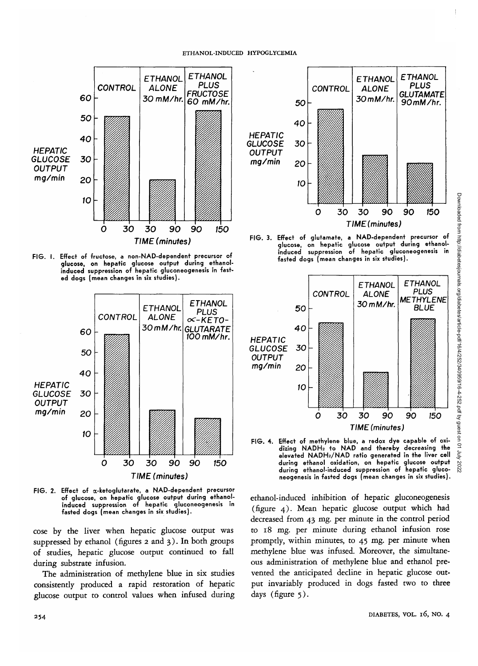#### ETHANOL-INDUCED HYPOGLYCEMIA



**FIG. I. Effect of fructose, a non-NAD-dependent precursor of glucose, on hepatic glucose output during ethanolinduced suppression of hepatic gluconeogenesis in fasted dogs (mean changes in six studies).**



**FIG. 2. Effect of a-ketoglutarate, a NAD-dependent precursor of glucose, on hepatic glucose output during ethanolinduced suppression of hepatic gluconeogenesis in fasted dogs (mean changes in six studies).**

cose by the liver when hepatic glucose output was suppressed by ethanol (figures 2 and 3). In both groups of studies, hepatic glucose output continued to fall during substrate infusion.

The administration of methylene blue in six studies consistently produced a rapid restoration of hepatic glucose output to control values when infused during



**FIG. 3. Effect of glutamate, a NAD-dependent precursor of glucose, on hepatic glucose output during ethanolinduced suppression of hepatic gluconeogenesis in fasted dogs (mean changes in six studies).**



**FIG. 4. Effect of methylene blue, a redox dye capable of oxidizing NADH2 to NAD and thereby decreasing the elevated NADH2/NAD ratio generated in the liver cell during ethanol oxidation, on hepatic glucose output during ethanol-induced suppression of hepatic gluconeogenesis in fasted dogs (mean changes in six studies).**

ethanol-induced inhibition of hepatic gluconeogenesis (figure 4). Mean hepatic glucose output which had decreased from 43 mg. per minute in the control period to 18 mg. per minute during ethanol infusion rose promptly, within minutes, to 45 mg. per minute when methylene blue was infused. Moreover, the simultaneous administration of methylene blue and ethanol prevented the anticipated decline in hepatic glucose output invariably produced in dogs fasted two to three days (figure 5).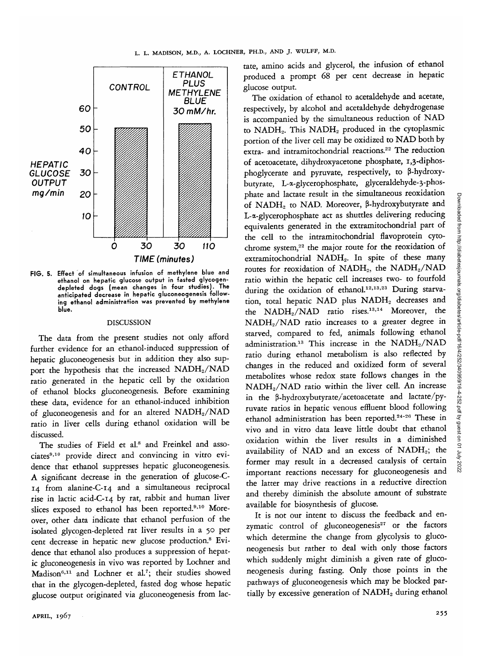

**FIG. 5. Effect of simultaneous infusion of methylene blue and ethanol on hepatic glucose output in fasted glycogendepleted dogs (mean changes in four studies). The anticipated decrease in hepatic gluconeogenesis following ethanol administration was prevented by methylene blue.**

# DISCUSSION

The data from the present studies not only afford further evidence for an ethanol-induced suppression of hepatic gluconeogenesis but in addition they also support the hypothesis that the increased NADH<sub>2</sub>/NAD ratio generated in the hepatic cell by the oxidation of ethanol blocks gluconeogenesis. Before examining these data, evidence for an ethanol-induced inhibition of gluconeogenesis and for an altered NADH<sub>2</sub>/NAD ratio in liver cells during ethanol oxidation will be discussed.

The studies of Field et al.<sup>8</sup> and Freinkel and associates<sup>9,10</sup> provide direct and convincing in vitro evidence that ethanol suppresses hepatic gluconeogenesis. A significant decrease in the generation of glucose-C-14 from alanine-C-14 and a simultaneous reciprocal rise in lactic acid-C-14 by rat, rabbit and human liver slices exposed to ethanol has been reported.<sup>9,10</sup> Moreover, other data indicate that ethanol perfusion of the isolated glycogen-depleted rat liver results in a 50 per cent decrease in hepatic new glucose production.<sup>8</sup> Evidence that ethanol also produces a suppression of hepatic gluconeogenesis in vivo was reported by Lochner and Madison<sup>6,11</sup> and Lochner et al.<sup>7</sup>; their studies showed that in the glycogen-depleted, fasted dog whose hepatic glucose output originated via gluconeogenesis from lac-

tate, amino acids and glycerol, the infusion of ethanol produced a prompt 68 per cent decrease in hepatic glucose output.

The oxidation of ethanol to acetaldehyde and acetate, respectively, by alcohol and acetaldehyde dehydrogenase is accompanied by the simultaneous reduction of NAD to NADH<sub>2</sub>. This NADH<sub>2</sub> produced in the cytoplasmic portion of the liver cell may be oxidized to NAD both by extra- and intramitochondrial reactions.<sup>22</sup> The reduction of acetoacetate, dihydroxyacetone phosphate, 1,3-diphosphoglycerate and pyruvate, respectively, to P-hydroxybutyrate, L-a-glycerophosphate, glyceraldehyde-3-phosphate and lactate result in the simultaneous reoxidation of NADH2 to NAD. Moreover, P-hydroxybutyrate and L-a-glycerophosphate act as shuttles delivering reducing equivalents generated in the extramitochondrial part of the cell to the intramitochondrial flavoprotein cytochrome system,<sup>22</sup> the major route for the reoxidation of extramitochondrial NADH2. In spite of these many routes for reoxidation of NADH<sub>2</sub>, the NADH<sub>2</sub>/NAD ratio within the hepatic cell increases two- to fourfold during the oxidation of ethanol.<sup>12,13,23</sup> During starvation, total hepatic NAD plus NADH<sub>2</sub> decreases and the NADH<sub>2</sub>/NAD ratio rises.<sup>13,14</sup> Moreover, the NADH2/NAD ratio increases to a greater degree in starved, compared to fed, animals following ethanol administration.<sup>13</sup> This increase in the NADH<sub>2</sub>/NAD ratio during ethanol metabolism is also reflected by changes in the reduced and oxidized form of several metabolites whose redox state follows changes in the NADH2/NAD ratio within the liver cell. An increase in the  $\beta$ -hydroxybutyrate/acetoacetate and lactate/pyruvate ratios in hepatic venous effluent blood following ethanol administration has been reported.<sup>24-26</sup> These in vivo and in vitro data leave little doubt that ethanol oxidation within the liver results in a diminished availability of NAD and an excess of NADH<sub>2</sub>; the former may result in a decreased catalysis of certain important reactions necessary for gluconeogenesis and the latter may drive reactions in a reductive direction and thereby diminish the absolute amount of substrate available for biosynthesis of glucose.

It is not our intent to discuss the feedback and enzymatic control of gluconeogenesis<sup>27</sup> or the factors which determine the change from glycolysis to gluconeogenesis but rather to deal with only those factors which suddenly might diminish a given rate of gluconeogenesis during fasting. Only those points in the pathways of gluconeogenesis which may be blocked partially by excessive generation of NADH<sub>2</sub> during ethanol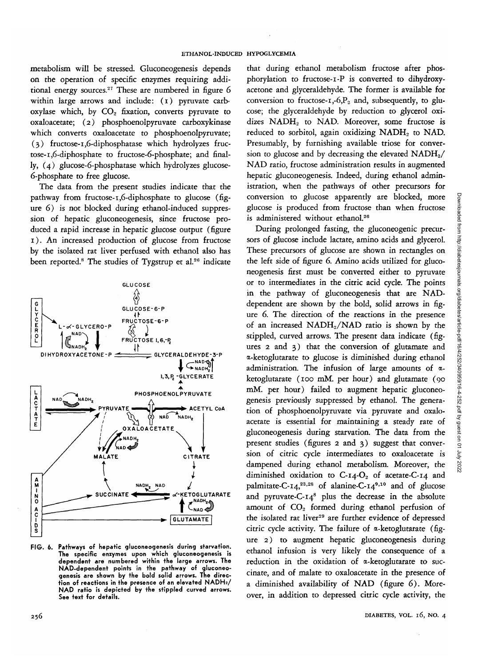metabolism will be stressed. Gluconeogenesis depends on the operation of specific enzymes requiring additional energy sources.<sup>27</sup> These are numbered in figure 6 within large arrows and include: (1) pyruvate carboxylase which, by  $CO<sub>2</sub>$  fixation, converts pyruvate to oxaloacetate; (2) phosphoenolpyruvate carboxykinase which converts oxaloacetate to phosphoenolpyruvate; (3) fructose-1,6-diphosphatase which hydrolyzes fructose-i,6-diphosphate to fructose-6-phosphate; and finally, (4) glucose-6-phosphatase which hydrolyzes glucose-6-phosphate to free glucose.

The data from the present studies indicate that the pathway from fructose-1,6-diphosphate to glucose (figure 6) is not blocked during ethanol-induced suppression of hepatic gluconeogenesis, since fructose produced a rapid increase in hepatic glucose output (figure 1). An increased production of glucose from fructose by the isolated rat liver perfused with ethanol also has been reported.<sup>8</sup> The studies of Tygstrup et al.<sup>26</sup> indicate



**FIG. 6. Pathways of hepatic gluconeogenesis during starvation. The specific enzymes upon which gluconeogenesis is dependent are numbered within the large arrows. The NAD-dependent points in the pathway of gluconeogenesis are shown by the bold solid arrows. The direction of reactions in the presence of an elevated NADH2/ NAD ratio is depicted by the stippled curved arrows. See text for details.**

that during ethanol metabolism fructose after phosphorylation to fructose-i-P is converted to dihydroxyacetone and glyceraldehyde. The former is available for conversion to fructose- $i, -6, P_2$  and, subsequently, to glucose; the glyceraldehyde by reduction to glycerol oxidizes NADH<sub>2</sub> to NAD. Moreover, some fructose is reduced to sorbitol, again oxidizing NADH<sub>2</sub> to NAD. Presumably, by furnishing available triose for conversion to glucose and by decreasing the elevated  $NADH<sub>2</sub>/$ NAD ratio, fructose administration results in augmented hepatic gluconeogenesis. Indeed, during ethanol administration, when the pathways of other precursors for conversion to glucose apparently are blocked, more glucose is produced from fructose than when fructose is administered without ethanol.<sup>26</sup>

During prolonged fasting, the gluconeogenic precursors of glucose include lactate, amino acids and glycerol. These precursors of glucose are shown in rectangles on the left side of figure 6. Amino acids utilized for gluconeogenesis first must be converted either to pyruvate or to intermediates in the *citric* acid cycle. The points in the pathway of gluconeogenesis that are NADdependent are shown by the bold, solid arrows in figure 6. The direction of the reactions in the presence of an increased NADH<sub>2</sub>/NAD ratio is shown by the stippled, curved arrows. The present data indicate (figures 2 and 3) that the conversion of glutamate and a-ketoglutarate to glucose is diminished during ethanol administration. The infusion of large amounts of  $\alpha$ ketoglutarate (100 mM. per hour) and glutamate (90 mM. per hour) failed to augment hepatic gluconeogenesis previously suppressed by ethanol. The generation of phosphoenolpyruvate via pyruvate and oxaloacetate is essential for maintaining a steady rate of gluconeogenesis during starvation. The data from the present studies (figures 2 and 3) suggest that conversion of citric cycle intermediates to oxaloacetate is dampened during ethanol metabolism. Moreover, the diminished oxidation to  $C$ -14- $O_2$  of acetate-C-14 and palmitate-C-14,<sup>23,28</sup> of alanine-C-14<sup>9,10</sup> and of glucose and pyruvate-C- $14^8$  plus the decrease in the absolute amount of  $CO<sub>2</sub>$  formed during ethanol perfusion of the isolated rat liver<sup>29</sup> are further evidence of depressed citric cycle activity. The failure of  $\alpha$ -ketoglutarate (figure 2) to augment hepatic gluconeogenesis during ethanol infusion is very likely the consequence of a reduction in the oxidation of a-ketoglutarate to succinate, and of malate to oxaloacetate in the presence of a diminished availability of NAD (figure 6). Moreover, in addition to depressed citric cycle activity, the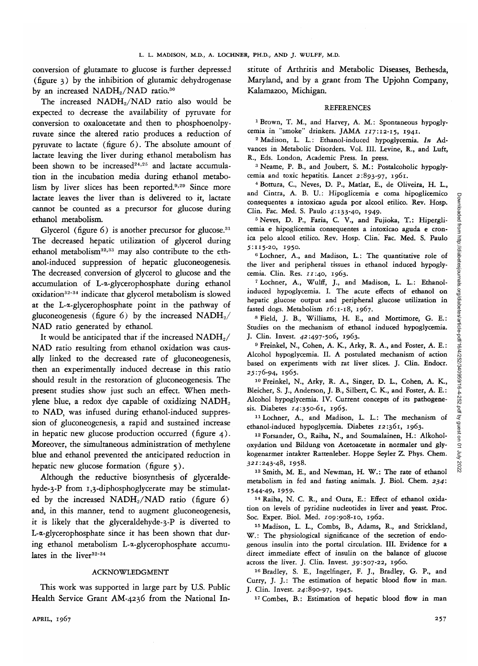conversion of glutamate to glucose is further depressed (figure 3) by the inhibition of glutamic dehydrogenase by an increased NADH<sub>2</sub>/NAD ratio.<sup>30</sup>

The increased  $NADH_2/NAD$  ratio also would be expected to decrease the availability of pyruvate for conversion to oxaloacetate and then to phosphoenolpyruvate since the altered ratio produces a reduction of pyruvate to lactate (figure 6). The absolute amount of lactate leaving the liver during ethanol metabolism has been shown to be increased<sup>24,25</sup> and lactate accumulation in the incubation media during ethanol metabolism by liver slices has been reported.<sup>9,29</sup> Since more lactate leaves the liver than *is* delivered to it, lactate cannot be counted as a precursor for glucose during ethanol metabolism.

Glycerol (figure  $6$ ) is another precursor for glucose.<sup>31</sup> The decreased hepatic utilization of glycerol during ethanol metabolism<sup>32,33</sup> may also contribute to the ethanol-induced suppression of hepatic gluconeogenesis. The decreased conversion of glycerol to glucose and the accumulation of L-a-glycerophosphate during ethanol oxidation<sup>32-34</sup> indicate that glycerol metabolism is slowed at the L-a-glycerophosphate point in the pathway of gluconeogenesis (figure 6) by the increased  $NADH<sub>2</sub>/$ NAD ratio generated by ethanol.

It would be anticipated that if the increased  $NADH<sub>2</sub>/$ NAD ratio resulting from ethanol oxidation was causally linked to the decreased rate of gluconeogenesis, then an experimentally induced decrease in this ratio should result in the restoration of gluconeogenesis. The present studies show just such an effect. When methylene blue, a redox dye capable of oxidizing  $NADH<sub>2</sub>$ to NAD, was infused during ethanol-induced suppression of gluconeogenesis, a rapid and sustained increase in hepatic new glucose production occurred (figure 4). Moreover, the simultaneous administration of methylene blue and ethanol prevented the anticipated reduction in hepatic new glucose formation (figure 5).

Although the reductive biosynthesis of glyceraldehyde-3-P from 1,3-diphosphoglycerate may be stimulated by the increased  $NADH<sub>2</sub>/NAD$  ratio (figure 6) and, in this manner, tend to augment gluconeogenesis, it is likely that the glyceraldehyde-3-P is diverted to L-a-glycerophosphate since *it* has been shown that during ethanol metabolism L-a-glycerophosphate accumu-34 lates in the liver<sup>32-34</sup>

## ACKNOWLEDGMENT

This work was supported in large part by U.S. Public Health Service Grant AM-4236 from the National Institute of Arthritis and Metabolic Diseases, Bethesda, Maryland, and by a grant from The Upjohn Company, Kalamazoo, Michigan.

## **REFERENCES**

<sup>1</sup> Brown, T. M., and Harvey, A. M.: Spontaneous hypoglycemia in "smoke" drinkers. JAMA 117:12-15, 1941. <sup>2</sup>

 Madison, L. L.: Ethanol-induced hypoglycemia. *In* Advances in Metabolic Disorders. Vol. III. Levine, R., and Luft, R., Eds. London, Academic Press. In press.

<sup>3</sup> Neame, P. B., and Joubert, S. M.: Postalcoholic hypoglycemia and toxic hepatitis. Lancet 2:893-97, 1961.

Bottura, C, Neves, D. P., Matlar, E., de Oliveira, H. L., and Cintra, A. B. U.: Hipoglicemia e coma hipoglicemico consequentes a intoxicao aguda por alcool etilico. Rev. Hosp.<br>Clin. Fac. Med. S. Paulo 4:133-40, 1949.

Clin. Fac. Med. S. Paulo 4:133-40, 1949.<br><sup>5</sup> Neves, D. P., Faria, C. V., and Fujioka, T.: Hiperglicemia e hipoglicemia consequentes a intoxicao aguda e cronica pelo alcool etilico. Rev. Hosp. Clin. Fac. Med. S. Paulo 5:115-20, 1950. <sup>6</sup>

 Lochner, A., and Madison, L.: The quantitative role of the liver and peripheral tissues in ethanol induced hypogly-<br>cemia. Clin. Res.  $11:40$ ,  $1963$ .

cemia. Clin. Res. 11:40, 1963.<br><sup>7</sup> Lochner, A., Wulff, J., and Madison, L. L.: Ethanolinduced hypoglycemia. I. The acute effects of ethanol on hepatic glucose output and peripheral glucose utilization in fasted dogs. Metabolism  $16:1-18$ , 1967.

 Field, J. B., Williams, H. E., and Mortimore, G. E.: Studies on the mechanism of ethanol induced hypoglycemia. J. Clin. Invest. 42:497-506, 1963.

<sup>9</sup> Freinkel, N., Cohen, A. K., Arky, R. A., and Foster, A. E.: Alcohol hypoglycemia. II. A postulated mechanism of action based on experiments with rat liver slices. J. Clin. Endocr. *25:76-94,* 1965.

<sup>10</sup> Freinkel, N., Arky, R. A., Singer, D. L., Cohen, A. K., Bleicher, S. J., Anderson, J. B., Silbert, C. K., and Foster, A. E.: Alcohol hypoglycemia. IV. Current concepts of its pathogenesis. Diabetes 14:350-61, 1965.

<sup>11</sup> Lochner, A., and Madison, L. L.: The mechanism of ethanol-induced hypoglycemia. Diabetes 12:361, 1963.

<sup>12</sup> Forsander, O., Raiha, N., and Soumalainen, H.: Alkoholoxydation und Bildung von Acetoacetate in normaler und glykogenarmer intakter Rattenleber. Hoppe Seyler Z. Phys. Chem. 321:243-48, 1958.

13 Smith, M. E., and Newman, H. W.: The rate of ethanol metabolism in fed and fasting animals. J. Biol. Chem. *234:* 1544-49, 1959.

14 Raiha, N. C. R., and Oura, E.: Effect of ethanol oxidation on levels of pyridine nudeotides in liver and yeast. Proc. Soc. Exper. Biol. Med. 109:908-10, 1962.

15 Madison, L. L., Combs, B., Adams, R., and Strickland, W.: The physiological significance of the secretion of endogenous insulin into the portal circulation. III. Evidence for a direct immediate effect of insulin on the balance of glucose across the liver. J. Clin. Invest. 39:507-22, i960.

16 Bradley, S. E., Ingelfinger, F. J., Bradley, G. P., and Curry, J. J.: The estimation of hepatic blood flow in man. J. Clin. Invest. 24:890-97, 1945.

<sup>17</sup> Combes, B.: Estimation of hepatic blood flow in man